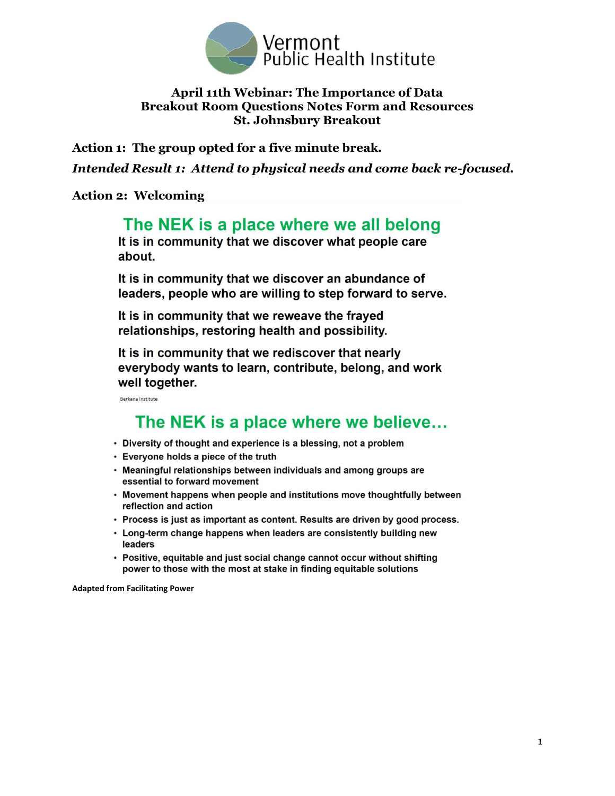

#### **April 11th Webinar: The Importance of Data Breakout Room Questions Notes Form and Resources St. Johnsbury Breakout**

**Action 1: The group opted for a five minute break.** 

*Intended Result 1: Attend to physical needs and come back re-focused.*

#### **Action 2: Welcoming**

# The NEK is a place where we all belong

It is in community that we discover what people care about.

It is in community that we discover an abundance of leaders, people who are willing to step forward to serve.

It is in community that we reweave the frayed relationships, restoring health and possibility.

It is in community that we rediscover that nearly everybody wants to learn, contribute, belong, and work well together.

Berkana Institute

# The NEK is a place where we believe...

- Diversity of thought and experience is a blessing, not a problem
- Everyone holds a piece of the truth
- Meaningful relationships between individuals and among groups are essential to forward movement
- Movement happens when people and institutions move thoughtfully between reflection and action
- Process is just as important as content. Results are driven by good process.
- Long-term change happens when leaders are consistently building new leaders
- Positive, equitable and just social change cannot occur without shifting power to those with the most at stake in finding equitable solutions

**Adapted from Facilitating Power**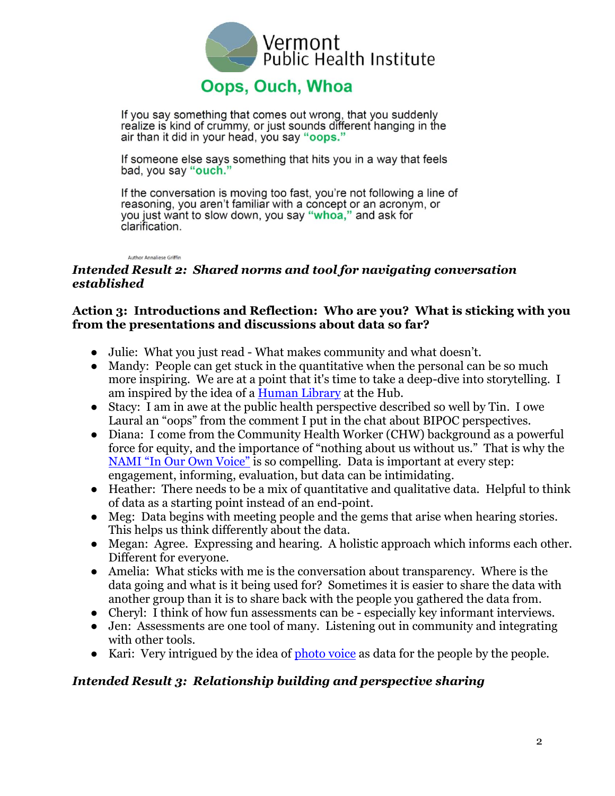

If you say something that comes out wrong, that you suddenly realize is kind of crummy, or just sounds different hanging in the air than it did in your head, you say "oops."

If someone else says something that hits you in a way that feels bad, you say "ouch."

If the conversation is moving too fast, you're not following a line of reasoning, you aren't familiar with a concept or an acronym, or you just want to slow down, you say "whoa," and ask for clarification.

**Author Annaliese Griffin** 

## *Intended Result 2: Shared norms and tool for navigating conversation established*

## **Action 3: Introductions and Reflection: Who are you? What is sticking with you from the presentations and discussions about data so far?**

- Julie: What you just read What makes community and what doesn't.
- Mandy: People can get stuck in the quantitative when the personal can be so much more inspiring. We are at a point that it's time to take a deep-dive into storytelling. I am inspired by the idea of a [Human Library](https://humanlibrary.org/) at the Hub.
- Stacy: I am in awe at the public health perspective described so well by Tin. I owe Laural an "oops" from the comment I put in the chat about BIPOC perspectives.
- Diana: I come from the Community Health Worker (CHW) background as a powerful force for equity, and the importance of "nothing about us without us." That is why the [NAMI "In Our Own Voice"](https://www.nami.org/Support-Education/Mental-Health-Education/NAMI-In-Our-Own-Voice) is so compelling. Data is important at every step: engagement, informing, evaluation, but data can be intimidating.
- Heather: There needs to be a mix of quantitative and qualitative data. Helpful to think of data as a starting point instead of an end-point.
- Meg: Data begins with meeting people and the gems that arise when hearing stories. This helps us think differently about the data.
- Megan: Agree. Expressing and hearing. A holistic approach which informs each other. Different for everyone.
- Amelia: What sticks with me is the conversation about transparency. Where is the data going and what is it being used for? Sometimes it is easier to share the data with another group than it is to share back with the people you gathered the data from.
- Cheryl: I think of how fun assessments can be especially key informant interviews.
- Jen: Assessments are one tool of many. Listening out in community and integrating with other tools.
- Kari: Very intrigued by the idea of [photo voice](https://photovoice.org/) as data for the people by the people.

## *Intended Result 3: Relationship building and perspective sharing*